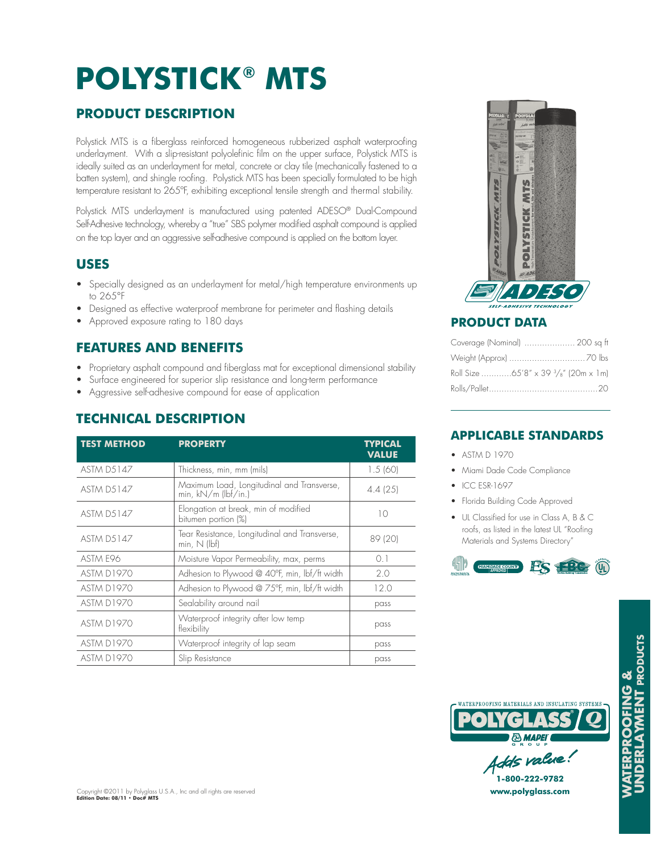# **POLYSTICK ® MTS**

## **PRODUCT DESCRIPTION**

Polystick MTS is a fiberglass reinforced homogeneous rubberized asphalt waterproofing underlayment. With a slip-resistant polyolefinic film on the upper surface, Polystick MTS is ideally suited as an underlayment for metal, concrete or clay tile (mechanically fastened to a batten system), and shingle roofing. Polystick MTS has been specially formulated to be high temperature resistant to 265°F, exhibiting exceptional tensile strength and thermal stability.

Polystick MTS underlayment is manufactured using patented ADESO® Dual-Compound Self-Adhesive technology, whereby a "true" SBS polymer modified asphalt compound is applied on the top layer and an aggressive self-adhesive compound is applied on the bottom layer.

#### **USES**

- Specially designed as an underlayment for metal/high temperature environments up to265°F
- Designed as effective waterproof membrane for perimeter and flashing details
- Approved exposure rating to 180 days

## **FEATURES AND BENEFITS**

- Proprietary asphalt compound and fiberglass mat for exceptional dimensional stability
- Surface engineered for superior slip resistance and long-term performance
- Aggressive self-adhesive compound for ease of application

### **TECHNICAL DESCRIPTION**

| <b>TEST METHOD</b> | <b>PROPERTY</b>                                                     | TYPICAL<br><b>VALUE</b> |
|--------------------|---------------------------------------------------------------------|-------------------------|
| <b>ASTM D5147</b>  | Thickness, min, mm (mils)                                           | 1.5(60)                 |
| <b>ASTM D5147</b>  | Maximum Load, Longitudinal and Transverse,<br>min, $kN/m$ (lbf/in.) | 4.4(25)                 |
| <b>ASTM D5147</b>  | Elongation at break, min of modified<br>bitumen portion (%)         | 10                      |
| <b>ASTM D5147</b>  | Tear Resistance, Longitudinal and Transverse,<br>$min, N$ (lbf)     | 89 (20)                 |
| ASTM F96           | Moisture Vapor Permeability, max, perms                             | 0.1                     |
| <b>ASTM D1970</b>  | Adhesion to Plywood @ 40°F, min, lbf/ft width                       | 2.0                     |
| ASTM D1970         | Adhesion to Plywood @ 75°F, min, lbf/ft width                       | 12.0                    |
| <b>ASTM D1970</b>  | Sealability around nail                                             | pass                    |
| <b>ASTM D1970</b>  | Waterproof integrity after low temp<br>flexibility                  | pass                    |
| <b>ASTM D1970</b>  | Waterproof integrity of lap seam                                    | pass                    |
| <b>ASTM D1970</b>  | Slip Resistance                                                     | pass                    |



#### **PRODUCT DATA**

| Coverage (Nominal)  200 sq ft                   |
|-------------------------------------------------|
|                                                 |
| Roll Size 65'8" x 39 $\frac{3}{8}$ " (20m x 1m) |
|                                                 |

#### **APPLICABLE STANDARDS**

- ASTM D 1970
- Miami Dade Code Compliance
- ICC ESR-1697
- Florida Building Code Approved
- UL Classified for use in Class A, B & C roofs, as listed in the latest UL "Roofing Materials and Systems Directory"